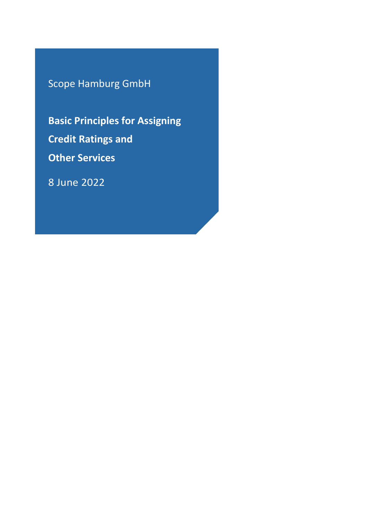Scope Hamburg GmbH

**Basic Principles for Assigning Credit Ratings and Other Services**

8 June 2022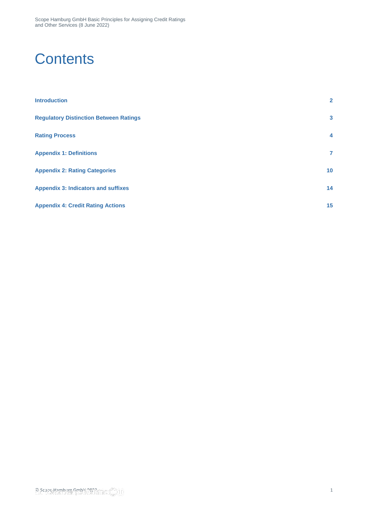Scope Hamburg GmbH Basic Principles for Assigning Credit Ratings and Other Services (8 June 2022)

## **Contents**

| <b>Introduction</b>                           | $\mathbf{2}$    |
|-----------------------------------------------|-----------------|
| <b>Regulatory Distinction Between Ratings</b> | 3               |
| <b>Rating Process</b>                         | $\overline{4}$  |
| <b>Appendix 1: Definitions</b>                | $\mathbf{7}$    |
| <b>Appendix 2: Rating Categories</b>          | 10 <sup>°</sup> |
| <b>Appendix 3: Indicators and suffixes</b>    | 14              |
| <b>Appendix 4: Credit Rating Actions</b>      | 15              |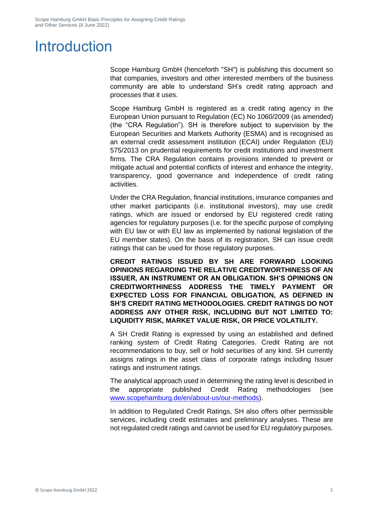# <span id="page-2-0"></span>Introduction

Scope Hamburg GmbH (henceforth "SH") is publishing this document so that companies, investors and other interested members of the business community are able to understand SH's credit rating approach and processes that it uses.

Scope Hamburg GmbH is registered as a credit rating agency in the European Union pursuant to Regulation (EC) No 1060/2009 (as amended) (the "CRA Regulation"). SH is therefore subject to supervision by the European Securities and Markets Authority (ESMA) and is recognised as an external credit assessment institution (ECAI) under Regulation (EU) 575/2013 on prudential requirements for credit institutions and investment firms. The CRA Regulation contains provisions intended to prevent or mitigate actual and potential conflicts of interest and enhance the integrity, transparency, good governance and independence of credit rating activities.

Under the CRA Regulation, financial institutions, insurance companies and other market participants (i.e. institutional investors), may use credit ratings, which are issued or endorsed by EU registered credit rating agencies for regulatory purposes (i.e. for the specific purpose of complying with EU law or with EU law as implemented by national legislation of the EU member states). On the basis of its registration, SH can issue credit ratings that can be used for those regulatory purposes.

**CREDIT RATINGS ISSUED BY SH ARE FORWARD LOOKING OPINIONS REGARDING THE RELATIVE CREDITWORTHINESS OF AN ISSUER, AN INSTRUMENT OR AN OBLIGATION. SH'S OPINIONS ON CREDITWORTHINESS ADDRESS THE TIMELY PAYMENT OR EXPECTED LOSS FOR FINANCIAL OBLIGATION, AS DEFINED IN SH'S CREDIT RATING METHODOLOGIES. CREDIT RATINGS DO NOT ADDRESS ANY OTHER RISK, INCLUDING BUT NOT LIMITED TO: LIQUIDITY RISK, MARKET VALUE RISK, OR PRICE VOLATILITY.**

A SH Credit Rating is expressed by using an established and defined ranking system of Credit Rating Categories. Credit Rating are not recommendations to buy, sell or hold securities of any kind. SH currently assigns ratings in the asset class of corporate ratings including Issuer ratings and instrument ratings.

The analytical approach used in determining the rating level is described in the appropriate published Credit Rating methodologies (see [www.scopehamburg.de/en/about-us/our-methods\)](http://www.scopehamburg.de/en/about-us/our-methods).

In addition to Regulated Credit Ratings, SH also offers other permissible services, including credit estimates and preliminary analyses. These are not regulated credit ratings and cannot be used for EU regulatory purposes.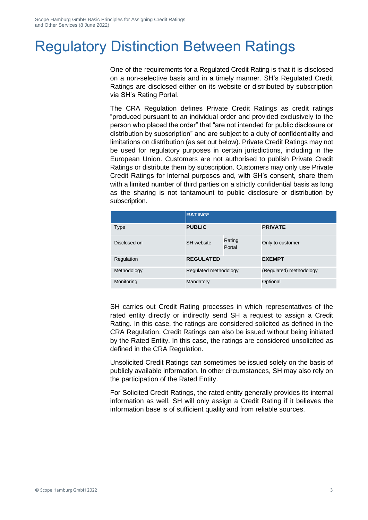# <span id="page-3-0"></span>Regulatory Distinction Between Ratings

One of the requirements for a Regulated Credit Rating is that it is disclosed on a non-selective basis and in a timely manner. SH's Regulated Credit Ratings are disclosed either on its website or distributed by subscription via SH's Rating Portal.

The CRA Regulation defines Private Credit Ratings as credit ratings "produced pursuant to an individual order and provided exclusively to the person who placed the order" that "are not intended for public disclosure or distribution by subscription" and are subject to a duty of confidentiality and limitations on distribution (as set out below). Private Credit Ratings may not be used for regulatory purposes in certain jurisdictions, including in the European Union. Customers are not authorised to publish Private Credit Ratings or distribute them by subscription. Customers may only use Private Credit Ratings for internal purposes and, with SH's consent, share them with a limited number of third parties on a strictly confidential basis as long as the sharing is not tantamount to public disclosure or distribution by subscription.

|              | <b>RATING*</b>        |                  |                         |
|--------------|-----------------------|------------------|-------------------------|
| <b>Type</b>  | <b>PUBLIC</b>         |                  | <b>PRIVATE</b>          |
| Disclosed on | SH website            | Rating<br>Portal | Only to customer        |
| Regulation   | <b>REGULATED</b>      |                  | <b>EXEMPT</b>           |
| Methodology  | Regulated methodology |                  | (Regulated) methodology |
| Monitoring   | Mandatory             |                  | Optional                |

SH carries out Credit Rating processes in which representatives of the rated entity directly or indirectly send SH a request to assign a Credit Rating. In this case, the ratings are considered solicited as defined in the CRA Regulation. Credit Ratings can also be issued without being initiated by the Rated Entity. In this case, the ratings are considered unsolicited as defined in the CRA Regulation.

Unsolicited Credit Ratings can sometimes be issued solely on the basis of publicly available information. In other circumstances, SH may also rely on the participation of the Rated Entity.

For Solicited Credit Ratings, the rated entity generally provides its internal information as well. SH will only assign a Credit Rating if it believes the information base is of sufficient quality and from reliable sources.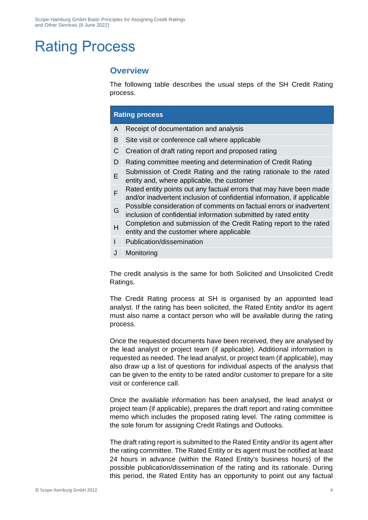# <span id="page-4-0"></span>Rating Process

### **Overview**

The following table describes the usual steps of the SH Credit Rating process.

#### **Rating process**

- A Receipt of documentation and analysis
- B Site visit or conference call where applicable
- C Creation of draft rating report and proposed rating
- D Rating committee meeting and determination of Credit Rating
- E Submission of Credit Rating and the rating rationale to the rated entity and, where applicable, the customer
- F Rated entity points out any factual errors that may have been made and/or inadvertent inclusion of confidential information, if applicable
- G Possible consideration of comments on factual errors or inadvertent inclusion of confidential information submitted by rated entity
- H Completion and submission of the Credit Rating report to the rated entity and the customer where applicable
- I Publication/dissemination
- J Monitoring

The credit analysis is the same for both Solicited and Unsolicited Credit Ratings.

The Credit Rating process at SH is organised by an appointed lead analyst. If the rating has been solicited, the Rated Entity and/or its agent must also name a contact person who will be available during the rating process.

Once the requested documents have been received, they are analysed by the lead analyst or project team (if applicable). Additional information is requested as needed. The lead analyst, or project team (if applicable), may also draw up a list of questions for individual aspects of the analysis that can be given to the entity to be rated and/or customer to prepare for a site visit or conference call.

Once the available information has been analysed, the lead analyst or project team (if applicable), prepares the draft report and rating committee memo which includes the proposed rating level. The rating committee is the sole forum for assigning Credit Ratings and Outlooks.

The draft rating report is submitted to the Rated Entity and/or its agent after the rating committee. The Rated Entity or its agent must be notified at least 24 hours in advance (within the Rated Entity's business hours) of the possible publication/dissemination of the rating and its rationale. During this period, the Rated Entity has an opportunity to point out any factual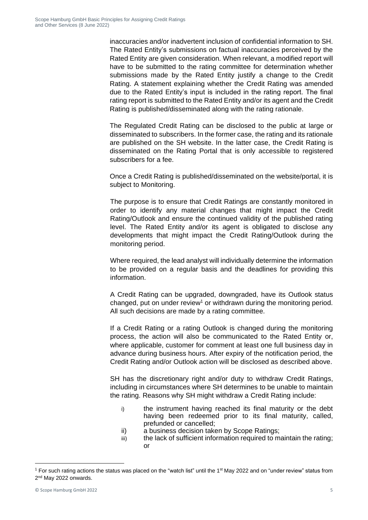inaccuracies and/or inadvertent inclusion of confidential information to SH. The Rated Entity's submissions on factual inaccuracies perceived by the Rated Entity are given consideration. When relevant, a modified report will have to be submitted to the rating committee for determination whether submissions made by the Rated Entity justify a change to the Credit Rating. A statement explaining whether the Credit Rating was amended due to the Rated Entity's input is included in the rating report. The final rating report is submitted to the Rated Entity and/or its agent and the Credit Rating is published/disseminated along with the rating rationale.

The Regulated Credit Rating can be disclosed to the public at large or disseminated to subscribers. In the former case, the rating and its rationale are published on the SH website. In the latter case, the Credit Rating is disseminated on the Rating Portal that is only accessible to registered subscribers for a fee.

Once a Credit Rating is published/disseminated on the website/portal, it is subject to Monitoring.

The purpose is to ensure that Credit Ratings are constantly monitored in order to identify any material changes that might impact the Credit Rating/Outlook and ensure the continued validity of the published rating level. The Rated Entity and/or its agent is obligated to disclose any developments that might impact the Credit Rating/Outlook during the monitoring period.

Where required, the lead analyst will individually determine the information to be provided on a regular basis and the deadlines for providing this information.

A Credit Rating can be upgraded, downgraded, have its Outlook status changed, put on under review<sup>1</sup> or withdrawn during the monitoring period. All such decisions are made by a rating committee.

If a Credit Rating or a rating Outlook is changed during the monitoring process, the action will also be communicated to the Rated Entity or, where applicable, customer for comment at least one full business day in advance during business hours. After expiry of the notification period, the Credit Rating and/or Outlook action will be disclosed as described above.

SH has the discretionary right and/or duty to withdraw Credit Ratings, including in circumstances where SH determines to be unable to maintain the rating. Reasons why SH might withdraw a Credit Rating include:

- i) the instrument having reached its final maturity or the debt having been redeemed prior to its final maturity, called, prefunded or cancelled;
- ii) a business decision taken by Scope Ratings;
- iii) the lack of sufficient information required to maintain the rating; or

<sup>&</sup>lt;sup>1</sup> For such rating actions the status was placed on the "watch list" until the 1<sup>st</sup> May 2022 and on "under review" status from 2<sup>nd</sup> May 2022 onwards.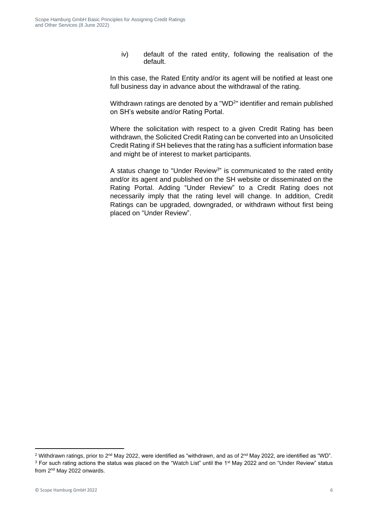iv) default of the rated entity, following the realisation of the default.

In this case, the Rated Entity and/or its agent will be notified at least one full business day in advance about the withdrawal of the rating.

Withdrawn ratings are denoted by a "WD $2$ " identifier and remain published on SH's website and/or Rating Portal.

Where the solicitation with respect to a given Credit Rating has been withdrawn, the Solicited Credit Rating can be converted into an Unsolicited Credit Rating if SH believes that the rating has a sufficient information base and might be of interest to market participants.

A status change to "Under Review<sup>3</sup>" is communicated to the rated entity and/or its agent and published on the SH website or disseminated on the Rating Portal. Adding "Under Review" to a Credit Rating does not necessarily imply that the rating level will change. In addition, Credit Ratings can be upgraded, downgraded, or withdrawn without first being placed on "Under Review".

<sup>&</sup>lt;sup>2</sup> Withdrawn ratings, prior to  $2^{nd}$  May 2022, were identified as "withdrawn, and as of  $2^{nd}$  May 2022, are identified as "WD". <sup>3</sup> For such rating actions the status was placed on the "Watch List" until the 1<sup>st</sup> May 2022 and on "Under Review" status from 2<sup>nd</sup> May 2022 onwards.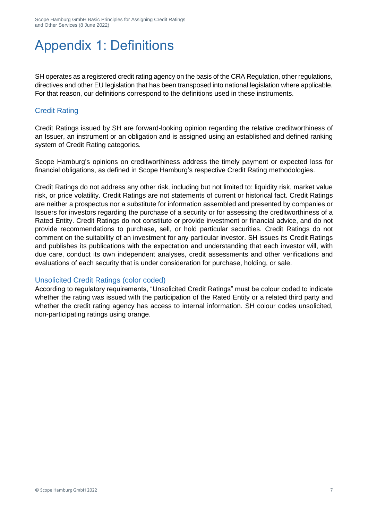# <span id="page-7-0"></span>Appendix 1: Definitions

SH operates as a registered credit rating agency on the basis of the CRA Regulation, other regulations, directives and other EU legislation that has been transposed into national legislation where applicable. For that reason, our definitions correspond to the definitions used in these instruments.

### Credit Rating

Credit Ratings issued by SH are forward-looking opinion regarding the relative creditworthiness of an Issuer, an instrument or an obligation and is assigned using an established and defined ranking system of Credit Rating categories.

Scope Hamburg's opinions on creditworthiness address the timely payment or expected loss for financial obligations, as defined in Scope Hamburg's respective Credit Rating methodologies.

Credit Ratings do not address any other risk, including but not limited to: liquidity risk, market value risk, or price volatility. Credit Ratings are not statements of current or historical fact. Credit Ratings are neither a prospectus nor a substitute for information assembled and presented by companies or Issuers for investors regarding the purchase of a security or for assessing the creditworthiness of a Rated Entity. Credit Ratings do not constitute or provide investment or financial advice, and do not provide recommendations to purchase, sell, or hold particular securities. Credit Ratings do not comment on the suitability of an investment for any particular investor. SH issues its Credit Ratings and publishes its publications with the expectation and understanding that each investor will, with due care, conduct its own independent analyses, credit assessments and other verifications and evaluations of each security that is under consideration for purchase, holding, or sale.

### Unsolicited Credit Ratings (color coded)

According to regulatory requirements, "Unsolicited Credit Ratings" must be colour coded to indicate whether the rating was issued with the participation of the Rated Entity or a related third party and whether the credit rating agency has access to internal information. SH colour codes unsolicited, non-participating ratings using orange.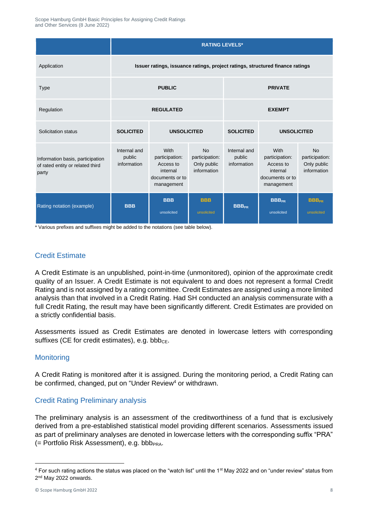|                                                                                                                                                                                                                                                                                                                                                                                                                                                                                                                                                                                                                                                                                                                                                            | <b>RATING LEVELS*</b>                                                         |                                                                                  |                                                           |                                       |                                                                                  |                                                           |
|------------------------------------------------------------------------------------------------------------------------------------------------------------------------------------------------------------------------------------------------------------------------------------------------------------------------------------------------------------------------------------------------------------------------------------------------------------------------------------------------------------------------------------------------------------------------------------------------------------------------------------------------------------------------------------------------------------------------------------------------------------|-------------------------------------------------------------------------------|----------------------------------------------------------------------------------|-----------------------------------------------------------|---------------------------------------|----------------------------------------------------------------------------------|-----------------------------------------------------------|
| Application                                                                                                                                                                                                                                                                                                                                                                                                                                                                                                                                                                                                                                                                                                                                                | Issuer ratings, issuance ratings, project ratings, structured finance ratings |                                                                                  |                                                           |                                       |                                                                                  |                                                           |
| Type                                                                                                                                                                                                                                                                                                                                                                                                                                                                                                                                                                                                                                                                                                                                                       | <b>PUBLIC</b>                                                                 |                                                                                  | <b>PRIVATE</b>                                            |                                       |                                                                                  |                                                           |
| Regulation                                                                                                                                                                                                                                                                                                                                                                                                                                                                                                                                                                                                                                                                                                                                                 | <b>REGULATED</b>                                                              |                                                                                  | <b>EXEMPT</b>                                             |                                       |                                                                                  |                                                           |
| Solicitation status                                                                                                                                                                                                                                                                                                                                                                                                                                                                                                                                                                                                                                                                                                                                        | <b>SOLICITED</b><br><b>UNSOLICITED</b>                                        |                                                                                  | <b>SOLICITED</b>                                          | <b>UNSOLICITED</b>                    |                                                                                  |                                                           |
| Information basis, participation<br>of rated entity or related third<br>party                                                                                                                                                                                                                                                                                                                                                                                                                                                                                                                                                                                                                                                                              | Internal and<br>public<br>information                                         | With<br>participation:<br>Access to<br>internal<br>documents or to<br>management | <b>No</b><br>participation:<br>Only public<br>information | Internal and<br>public<br>information | With<br>participation:<br>Access to<br>internal<br>documents or to<br>management | <b>No</b><br>participation:<br>Only public<br>information |
| Rating notation (example)                                                                                                                                                                                                                                                                                                                                                                                                                                                                                                                                                                                                                                                                                                                                  | <b>BBB</b>                                                                    | <b>BBB</b><br>unsolicited                                                        | <b>BBB</b><br>unsolicited                                 | <b>BBB<sub>PR</sub></b>               | <b>BBB<sub>PR</sub></b><br>unsolicited                                           | <b>BBB<sub>PR</sub></b><br>unsolicited                    |
| <b>Credit Estimate</b><br>A Credit Estimate is an unpublished, point-in-time (unmonitored), opinion of the approximate credit<br>quality of an Issuer. A Credit Estimate is not equivalent to and does not represent a formal Credit<br>Rating and is not assigned by a rating committee. Credit Estimates are assigned using a more limited<br>analysis than that involved in a Credit Rating. Had SH conducted an analysis commensurate with a<br>full Credit Rating, the result may have been significantly different. Credit Estimates are provided on<br>a strictly confidential basis.<br>Assessments issued as Credit Estimates are denoted in lowercase letters with corresponding<br>suffixes (CE for credit estimates), e.g. bbb <sub>CE</sub> . |                                                                               |                                                                                  |                                                           |                                       |                                                                                  |                                                           |
| <b>Monitoring</b>                                                                                                                                                                                                                                                                                                                                                                                                                                                                                                                                                                                                                                                                                                                                          |                                                                               |                                                                                  |                                                           |                                       |                                                                                  |                                                           |
| A Credit Rating is monitored after it is assigned. During the monitoring period, a Credit Rating can<br>be confirmed, changed, put on "Under Review <sup>4</sup> or withdrawn.                                                                                                                                                                                                                                                                                                                                                                                                                                                                                                                                                                             |                                                                               |                                                                                  |                                                           |                                       |                                                                                  |                                                           |
| <b>Credit Rating Preliminary analysis</b>                                                                                                                                                                                                                                                                                                                                                                                                                                                                                                                                                                                                                                                                                                                  |                                                                               |                                                                                  |                                                           |                                       |                                                                                  |                                                           |
| The preliminary analysis is an assessment of the creditworthiness of a fund that is exclusively<br>derived from a pre-established statistical model providing different scenarios. Assessments issued<br>as part of preliminary analyses are denoted in lowercase letters with the corresponding suffix "PRA"<br>(= Portfolio Risk Assessment), e.g. bbb <sub>PRA</sub> .                                                                                                                                                                                                                                                                                                                                                                                  |                                                                               |                                                                                  |                                                           |                                       |                                                                                  |                                                           |
| <sup>4</sup> For such rating actions the status was placed on the "watch list" until the 1 <sup>st</sup> May 2022 and on "under review" status from<br>2 <sup>nd</sup> May 2022 onwards.                                                                                                                                                                                                                                                                                                                                                                                                                                                                                                                                                                   |                                                                               |                                                                                  |                                                           |                                       |                                                                                  |                                                           |

### Credit Estimate

#### **Monitoring**

### Credit Rating Preliminary analysis

<sup>&</sup>lt;sup>4</sup> For such rating actions the status was placed on the "watch list" until the 1<sup>st</sup> May 2022 and on "under review" status from 2<sup>nd</sup> May 2022 onwards.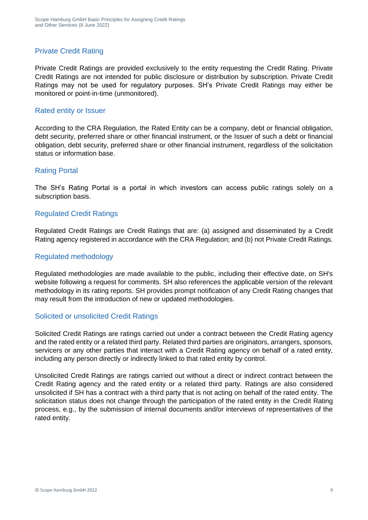### Private Credit Rating

Private Credit Ratings are provided exclusively to the entity requesting the Credit Rating. Private Credit Ratings are not intended for public disclosure or distribution by subscription. Private Credit Ratings may not be used for regulatory purposes. SH's Private Credit Ratings may either be monitored or point-in-time (unmonitored).

#### Rated entity or Issuer

According to the CRA Regulation, the Rated Entity can be a company, debt or financial obligation, debt security, preferred share or other financial instrument, or the Issuer of such a debt or financial obligation, debt security, preferred share or other financial instrument, regardless of the solicitation status or information base.

#### Rating Portal

The SH's Rating Portal is a portal in which investors can access public ratings solely on a subscription basis.

#### Regulated Credit Ratings

Regulated Credit Ratings are Credit Ratings that are: (a) assigned and disseminated by a Credit Rating agency registered in accordance with the CRA Regulation; and (b) not Private Credit Ratings.

#### Regulated methodology

Regulated methodologies are made available to the public, including their effective date, on SH's website following a request for comments. SH also references the applicable version of the relevant methodology in its rating reports. SH provides prompt notification of any Credit Rating changes that may result from the introduction of new or updated methodologies.

#### Solicited or unsolicited Credit Ratings

Solicited Credit Ratings are ratings carried out under a contract between the Credit Rating agency and the rated entity or a related third party. Related third parties are originators, arrangers, sponsors, servicers or any other parties that interact with a Credit Rating agency on behalf of a rated entity, including any person directly or indirectly linked to that rated entity by control.

Unsolicited Credit Ratings are ratings carried out without a direct or indirect contract between the Credit Rating agency and the rated entity or a related third party. Ratings are also considered unsolicited if SH has a contract with a third party that is not acting on behalf of the rated entity. The solicitation status does not change through the participation of the rated entity in the Credit Rating process, e.g., by the submission of internal documents and/or interviews of representatives of the rated entity.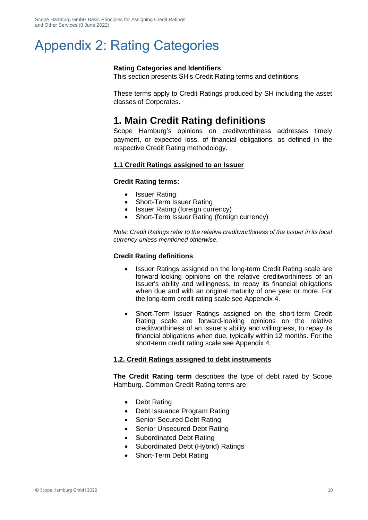## <span id="page-10-0"></span>Appendix 2: Rating Categories

#### **Rating Categories and Identifiers**

This section presents SH's Credit Rating terms and definitions.

These terms apply to Credit Ratings produced by SH including the asset classes of Corporates.

### **1. Main Credit Rating definitions**

Scope Hamburg's opinions on creditworthiness addresses timely payment, or expected loss, of financial obligations, as defined in the respective Credit Rating methodology.

#### **1.1 Credit Ratings assigned to an Issuer**

#### **Credit Rating terms:**

- Issuer Rating
- Short-Term Issuer Rating
- Issuer Rating (foreign currency)
- Short-Term Issuer Rating (foreign currency)

*Note: Credit Ratings refer to the relative creditworthiness of the Issuer in its local currency unless mentioned otherwise.*

#### **Credit Rating definitions**

- Issuer Ratings assigned on the long-term Credit Rating scale are forward-looking opinions on the relative creditworthiness of an Issuer's ability and willingness, to repay its financial obligations when due and with an original maturity of one year or more. For the long-term credit rating scale see Appendix 4.
- Short-Term Issuer Ratings assigned on the short-term Credit Rating scale are forward-looking opinions on the relative creditworthiness of an Issuer's ability and willingness, to repay its financial obligations when due, typically within 12 months. For the short-term credit rating scale see Appendix 4.

#### **1.2. Credit Ratings assigned to debt instruments**

**The Credit Rating term** describes the type of debt rated by Scope Hamburg. Common Credit Rating terms are:

- Debt Rating
- Debt Issuance Program Rating
- Senior Secured Debt Rating
- Senior Unsecured Debt Rating
- Subordinated Debt Rating
- Subordinated Debt (Hybrid) Ratings
- Short-Term Debt Rating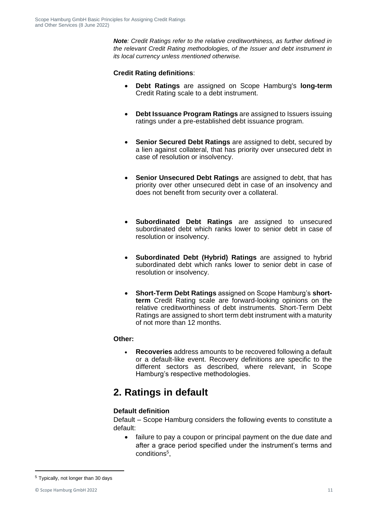*Note: Credit Ratings refer to the relative creditworthiness, as further defined in the relevant Credit Rating methodologies, of the Issuer and debt instrument in its local currency unless mentioned otherwise.*

#### **Credit Rating definitions**:

- **Debt Ratings** are assigned on Scope Hamburg's **long-term** Credit Rating scale to a debt instrument.
- **Debt Issuance Program Ratings** are assigned to Issuers issuing ratings under a pre-established debt issuance program.
- **Senior Secured Debt Ratings** are assigned to debt, secured by a lien against collateral, that has priority over unsecured debt in case of resolution or insolvency.
- **Senior Unsecured Debt Ratings** are assigned to debt, that has priority over other unsecured debt in case of an insolvency and does not benefit from security over a collateral.
- **Subordinated Debt Ratings** are assigned to unsecured subordinated debt which ranks lower to senior debt in case of resolution or insolvency.
- **Subordinated Debt (Hybrid) Ratings** are assigned to hybrid subordinated debt which ranks lower to senior debt in case of resolution or insolvency.
- **Short-Term Debt Ratings** assigned on Scope Hamburg's **shortterm** Credit Rating scale are forward-looking opinions on the relative creditworthiness of debt instruments. Short-Term Debt Ratings are assigned to short term debt instrument with a maturity of not more than 12 months.

#### **Other:**

• **Recoveries** address amounts to be recovered following a default or a default-like event. Recovery definitions are specific to the different sectors as described, where relevant, in Scope Hamburg's respective methodologies.

## **2. Ratings in default**

#### **Default definition**

Default – Scope Hamburg considers the following events to constitute a default:

• failure to pay a coupon or principal payment on the due date and after a grace period specified under the instrument's terms and conditions<sup>5</sup>,

<sup>5</sup> Typically, not longer than 30 days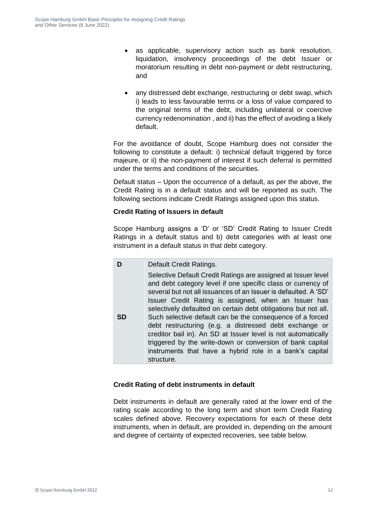- as applicable, supervisory action such as bank resolution, liquidation, insolvency proceedings of the debt Issuer or moratorium resulting in debt non-payment or debt restructuring, and
- any distressed debt exchange, restructuring or debt swap, which i) leads to less favourable terms or a loss of value compared to the original terms of the debt, including unilateral or coercive currency redenomination , and ii) has the effect of avoiding a likely default.

For the avoidance of doubt, Scope Hamburg does not consider the following to constitute a default: i) technical default triggered by force majeure, or ii) the non-payment of interest if such deferral is permitted under the terms and conditions of the securities.

Default status – Upon the occurrence of a default, as per the above, the Credit Rating is in a default status and will be reported as such. The following sections indicate Credit Ratings assigned upon this status.

#### **Credit Rating of Issuers in default**

Scope Hamburg assigns a 'D' or 'SD' Credit Rating to Issuer Credit Ratings in a default status and b) debt categories with at least one instrument in a default status in that debt category.

**D** Default Credit Ratings. **SD** Selective Default Credit Ratings are assigned at Issuer level and debt category level if one specific class or currency of several but not all issuances of an Issuer is defaulted. A 'SD' Issuer Credit Rating is assigned, when an Issuer has selectively defaulted on certain debt obligations but not all. Such selective default can be the consequence of a forced debt restructuring (e.g. a distressed debt exchange or creditor bail in). An SD at Issuer level is not automatically triggered by the write-down or conversion of bank capital instruments that have a hybrid role in a bank's capital structure.

#### **Credit Rating of debt instruments in default**

Debt instruments in default are generally rated at the lower end of the rating scale according to the long term and short term Credit Rating scales defined above. Recovery expectations for each of these debt instruments, when in default, are provided in, depending on the amount and degree of certainty of expected recoveries, see table below.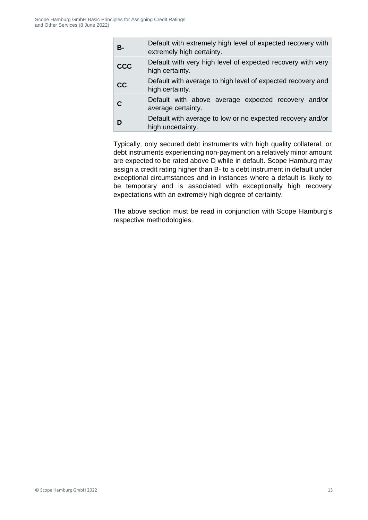| <b>B-</b>  | Default with extremely high level of expected recovery with<br>extremely high certainty. |
|------------|------------------------------------------------------------------------------------------|
| <b>CCC</b> | Default with very high level of expected recovery with very<br>high certainty.           |
| cc         | Default with average to high level of expected recovery and<br>high certainty.           |
| C          | Default with above average expected recovery and/or<br>average certainty.                |
| D          | Default with average to low or no expected recovery and/or<br>high uncertainty.          |

Typically, only secured debt instruments with high quality collateral, or debt instruments experiencing non-payment on a relatively minor amount are expected to be rated above D while in default. Scope Hamburg may assign a credit rating higher than B- to a debt instrument in default under exceptional circumstances and in instances where a default is likely to be temporary and is associated with exceptionally high recovery expectations with an extremely high degree of certainty.

The above section must be read in conjunction with Scope Hamburg's respective methodologies.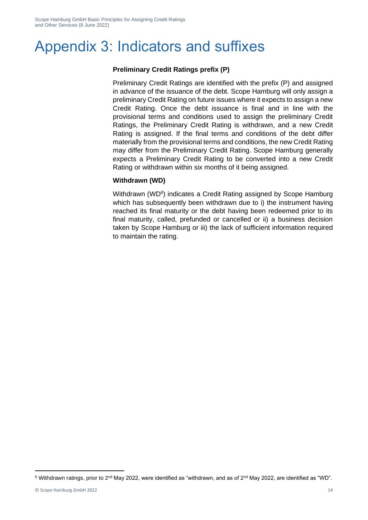# <span id="page-14-0"></span>Appendix 3: Indicators and suffixes

#### **Preliminary Credit Ratings prefix (P)**

Preliminary Credit Ratings are identified with the prefix (P) and assigned in advance of the issuance of the debt. Scope Hamburg will only assign a preliminary Credit Rating on future issues where it expects to assign a new Credit Rating. Once the debt issuance is final and in line with the provisional terms and conditions used to assign the preliminary Credit Ratings, the Preliminary Credit Rating is withdrawn, and a new Credit Rating is assigned. If the final terms and conditions of the debt differ materially from the provisional terms and conditions, the new Credit Rating may differ from the Preliminary Credit Rating. Scope Hamburg generally expects a Preliminary Credit Rating to be converted into a new Credit Rating or withdrawn within six months of it being assigned.

#### **Withdrawn (WD)**

Withdrawn (WD<sup>6</sup>) indicates a Credit Rating assigned by Scope Hamburg which has subsequently been withdrawn due to i) the instrument having reached its final maturity or the debt having been redeemed prior to its final maturity, called, prefunded or cancelled or ii) a business decision taken by Scope Hamburg or iii) the lack of sufficient information required to maintain the rating.

 $6$  Withdrawn ratings, prior to 2<sup>nd</sup> May 2022, were identified as "withdrawn, and as of 2<sup>nd</sup> May 2022, are identified as "WD".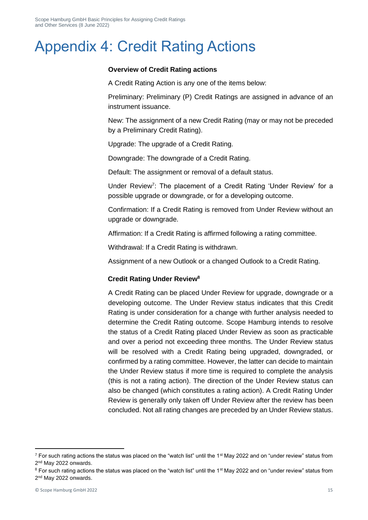# <span id="page-15-0"></span>Appendix 4: Credit Rating Actions

#### **Overview of Credit Rating actions**

A Credit Rating Action is any one of the items below:

• Preliminary: Preliminary (P) Credit Ratings are assigned in advance of an instrument issuance.

• New: The assignment of a new Credit Rating (may or may not be preceded by a Preliminary Credit Rating).

• Upgrade: The upgrade of a Credit Rating.

• Downgrade: The downgrade of a Credit Rating.

• Default: The assignment or removal of a default status.

Under Review<sup>7</sup>: The placement of a Credit Rating 'Under Review' for a possible upgrade or downgrade, or for a developing outcome.

• Confirmation: If a Credit Rating is removed from Under Review without an upgrade or downgrade.

• Affirmation: If a Credit Rating is affirmed following a rating committee.

• Withdrawal: If a Credit Rating is withdrawn.

• Assignment of a new Outlook or a changed Outlook to a Credit Rating.

#### Credit **Credit Rating Under Review<sup>8</sup>**

• A Credit Rating can be placed Under Review for upgrade, downgrade or a developing outcome. The Under Review status indicates that this Credit Rating is under consideration for a change with further analysis needed to determine the Credit Rating outcome. Scope Hamburg intends to resolve the status of a Credit Rating placed Under Review as soon as practicable and over a period not exceeding three months. The Under Review status will be resolved with a Credit Rating being upgraded, downgraded, or confirmed by a rating committee. However, the latter can decide to maintain the Under Review status if more time is required to complete the analysis (this is not a rating action). The direction of the Under Review status can also be changed (which constitutes a rating action). A Credit Rating Under Review is generally only taken off Under Review after the review has been concluded. Not all rating changes are preceded by an Under Review status.

 $7$  For such rating actions the status was placed on the "watch list" until the 1<sup>st</sup> May 2022 and on "under review" status from 2<sup>nd</sup> May 2022 onwards.

<sup>&</sup>lt;sup>8</sup> For such rating actions the status was placed on the "watch list" until the 1<sup>st</sup> May 2022 and on "under review" status from 2<sup>nd</sup> May 2022 onwards.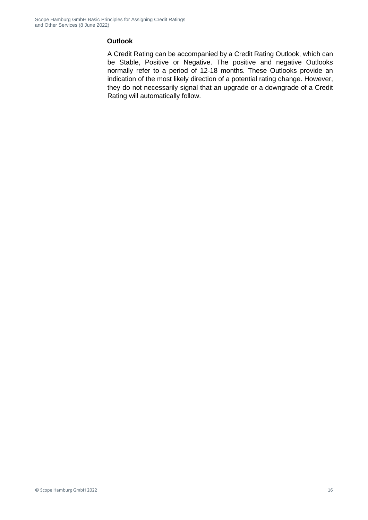#### **Outlook**

A Credit Rating can be accompanied by a Credit Rating Outlook, which can be Stable, Positive or Negative. The positive and negative Outlooks normally refer to a period of 12-18 months. These Outlooks provide an indication of the most likely direction of a potential rating change. However, they do not necessarily signal that an upgrade or a downgrade of a Credit Rating will automatically follow.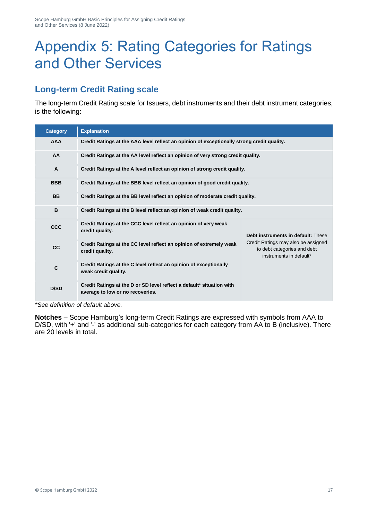# Appendix 5: Rating Categories for Ratings and Other Services

## **Long-term Credit Rating scale**

The long-term Credit Rating scale for Issuers, debt instruments and their debt instrument categories, is the following:

| <b>Category</b> | <b>Explanation</b>                                                                                        |                                                                                               |  |
|-----------------|-----------------------------------------------------------------------------------------------------------|-----------------------------------------------------------------------------------------------|--|
| <b>AAA</b>      | Credit Ratings at the AAA level reflect an opinion of exceptionally strong credit quality.                |                                                                                               |  |
| AA              | Credit Ratings at the AA level reflect an opinion of very strong credit quality.                          |                                                                                               |  |
| $\mathsf{A}$    | Credit Ratings at the A level reflect an opinion of strong credit quality.                                |                                                                                               |  |
| <b>BBB</b>      | Credit Ratings at the BBB level reflect an opinion of good credit quality.                                |                                                                                               |  |
| <b>BB</b>       | Credit Ratings at the BB level reflect an opinion of moderate credit quality.                             |                                                                                               |  |
| B               | Credit Ratings at the B level reflect an opinion of weak credit quality.                                  |                                                                                               |  |
| <b>CCC</b>      | Credit Ratings at the CCC level reflect an opinion of very weak<br>credit quality.                        | Debt instruments in default: These                                                            |  |
| cc              | Credit Ratings at the CC level reflect an opinion of extremely weak<br>credit quality.                    | Credit Ratings may also be assigned<br>to debt categories and debt<br>instruments in default* |  |
| $\mathbf{C}$    | Credit Ratings at the C level reflect an opinion of exceptionally<br>weak credit quality.                 |                                                                                               |  |
| D/SD            | Credit Ratings at the D or SD level reflect a default* situation with<br>average to low or no recoveries. |                                                                                               |  |

*\*See definition of default above.*

**Notches** – Scope Hamburg's long-term Credit Ratings are expressed with symbols from AAA to D/SD, with '+' and '-' as additional sub-categories for each category from AA to B (inclusive). There are 20 levels in total.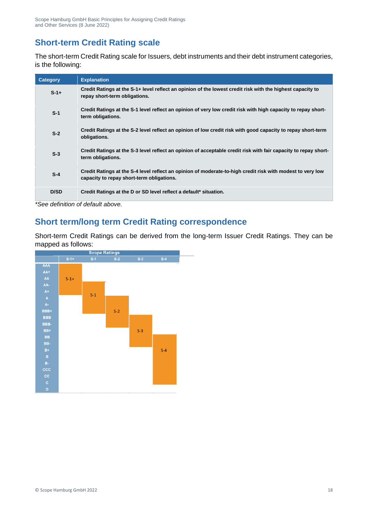### **Short-term Credit Rating scale**

The short-term Credit Rating scale for Issuers, debt instruments and their debt instrument categories, is the following:

| Category | <b>Explanation</b>                                                                                                                                      |
|----------|---------------------------------------------------------------------------------------------------------------------------------------------------------|
| $S-1+$   | Credit Ratings at the S-1+ level reflect an opinion of the lowest credit risk with the highest capacity to<br>repay short-term obligations.             |
| $S-1$    | Credit Ratings at the S-1 level reflect an opinion of very low credit risk with high capacity to repay short-<br>term obligations.                      |
| $S-2$    | Credit Ratings at the S-2 level reflect an opinion of low credit risk with good capacity to repay short-term<br>obligations.                            |
| $S-3$    | Credit Ratings at the S-3 level reflect an opinion of acceptable credit risk with fair capacity to repay short-<br>term obligations.                    |
| $S-4$    | Credit Ratings at the S-4 level reflect an opinion of moderate-to-high credit risk with modest to very low<br>capacity to repay short-term obligations. |
| D/SD     | Credit Ratings at the D or SD level reflect a default* situation.                                                                                       |

*\*See definition of default above.* 

### **Short term/long term Credit Rating correspondence**

Short-term Credit Ratings can be derived from the long-term Issuer Credit Ratings. They can be mapped as follows:

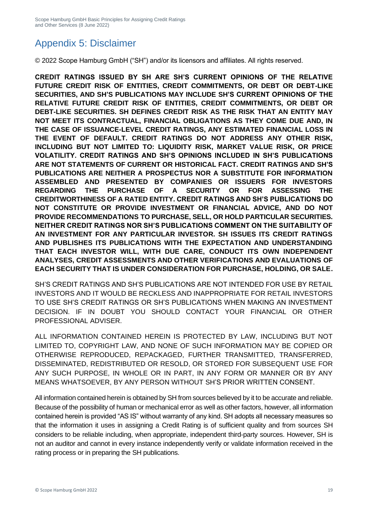## Appendix 5: Disclaimer

© 2022 Scope Hamburg GmbH ("SH") and/or its licensors and affiliates. All rights reserved.

**CREDIT RATINGS ISSUED BY SH ARE SH'S CURRENT OPINIONS OF THE RELATIVE FUTURE CREDIT RISK OF ENTITIES, CREDIT COMMITMENTS, OR DEBT OR DEBT-LIKE SECURITIES, AND SH'S PUBLICATIONS MAY INCLUDE SH'S CURRENT OPINIONS OF THE RELATIVE FUTURE CREDIT RISK OF ENTITIES, CREDIT COMMITMENTS, OR DEBT OR DEBT-LIKE SECURITIES. SH DEFINES CREDIT RISK AS THE RISK THAT AN ENTITY MAY NOT MEET ITS CONTRACTUAL, FINANCIAL OBLIGATIONS AS THEY COME DUE AND, IN THE CASE OF ISSUANCE-LEVEL CREDIT RATINGS, ANY ESTIMATED FINANCIAL LOSS IN THE EVENT OF DEFAULT. CREDIT RATINGS DO NOT ADDRESS ANY OTHER RISK, INCLUDING BUT NOT LIMITED TO: LIQUIDITY RISK, MARKET VALUE RISK, OR PRICE VOLATILITY. CREDIT RATINGS AND SH'S OPINIONS INCLUDED IN SH'S PUBLICATIONS ARE NOT STATEMENTS OF CURRENT OR HISTORICAL FACT. CREDIT RATINGS AND SH'S PUBLICATIONS ARE NEITHER A PROSPECTUS NOR A SUBSTITUTE FOR INFORMATION ASSEMBLED AND PRESENTED BY COMPANIES OR ISSUERS FOR INVESTORS REGARDING THE PURCHASE OF A SECURITY OR FOR ASSESSING THE CREDITWORTHINESS OF A RATED ENTITY. CREDIT RATINGS AND SH'S PUBLICATIONS DO NOT CONSTITUTE OR PROVIDE INVESTMENT OR FINANCIAL ADVICE, AND DO NOT PROVIDE RECOMMENDATIONS TO PURCHASE, SELL, OR HOLD PARTICULAR SECURITIES. NEITHER CREDIT RATINGS NOR SH'S PUBLICATIONS COMMENT ON THE SUITABILITY OF AN INVESTMENT FOR ANY PARTICULAR INVESTOR. SH ISSUES ITS CREDIT RATINGS AND PUBLISHES ITS PUBLICATIONS WITH THE EXPECTATION AND UNDERSTANDING THAT EACH INVESTOR WILL, WITH DUE CARE, CONDUCT ITS OWN INDEPENDENT ANALYSES, CREDIT ASSESSMENTS AND OTHER VERIFICATIONS AND EVALUATIONS OF EACH SECURITY THAT IS UNDER CONSIDERATION FOR PURCHASE, HOLDING, OR SALE.**

SH'S CREDIT RATINGS AND SH'S PUBLICATIONS ARE NOT INTENDED FOR USE BY RETAIL INVESTORS AND IT WOULD BE RECKLESS AND INAPPROPRIATE FOR RETAIL INVESTORS TO USE SH'S CREDIT RATINGS OR SH'S PUBLICATIONS WHEN MAKING AN INVESTMENT DECISION. IF IN DOUBT YOU SHOULD CONTACT YOUR FINANCIAL OR OTHER PROFESSIONAL ADVISER.

ALL INFORMATION CONTAINED HEREIN IS PROTECTED BY LAW, INCLUDING BUT NOT LIMITED TO, COPYRIGHT LAW, AND NONE OF SUCH INFORMATION MAY BE COPIED OR OTHERWISE REPRODUCED, REPACKAGED, FURTHER TRANSMITTED, TRANSFERRED, DISSEMINATED, REDISTRIBUTED OR RESOLD, OR STORED FOR SUBSEQUENT USE FOR ANY SUCH PURPOSE, IN WHOLE OR IN PART, IN ANY FORM OR MANNER OR BY ANY MEANS WHATSOEVER, BY ANY PERSON WITHOUT SH'S PRIOR WRITTEN CONSENT.

All information contained herein is obtained by SH from sources believed by it to be accurate and reliable. Because of the possibility of human or mechanical error as well as other factors, however, all information contained herein is provided "AS IS" without warranty of any kind. SH adopts all necessary measures so that the information it uses in assigning a Credit Rating is of sufficient quality and from sources SH considers to be reliable including, when appropriate, independent third-party sources. However, SH is not an auditor and cannot in every instance independently verify or validate information received in the rating process or in preparing the SH publications.